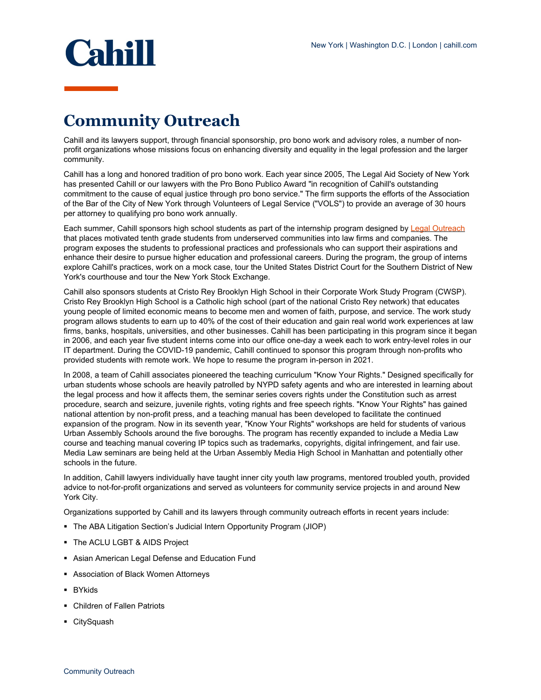

## **Community Outreach**

Cahill and its lawyers support, through financial sponsorship, pro bono work and advisory roles, a number of nonprofit organizations whose missions focus on enhancing diversity and equality in the legal profession and the larger community.

Cahill has a long and honored tradition of pro bono work. Each year since 2005, The Legal Aid Society of New York has presented Cahill or our lawyers with the Pro Bono Publico Award "in recognition of Cahill's outstanding commitment to the cause of equal justice through pro bono service." The firm supports the efforts of the Association of the Bar of the City of New York through Volunteers of Legal Service ("VOLS") to provide an average of 30 hours per attorney to qualifying pro bono work annually.

Each summer, Cahill sponsors high school students as part of the internship program designed by [Legal Outreach](http://legaloutreach.org/) that places motivated tenth grade students from underserved communities into law firms and companies. The program exposes the students to professional practices and professionals who can support their aspirations and enhance their desire to pursue higher education and professional careers. During the program, the group of interns explore Cahill's practices, work on a mock case, tour the United States District Court for the Southern District of New York's courthouse and tour the New York Stock Exchange.

Cahill also sponsors students at Cristo Rey Brooklyn High School in their Corporate Work Study Program (CWSP). Cristo Rey Brooklyn High School is a Catholic high school (part of the national Cristo Rey network) that educates young people of limited economic means to become men and women of faith, purpose, and service. The work study program allows students to earn up to 40% of the cost of their education and gain real world work experiences at law firms, banks, hospitals, universities, and other businesses. Cahill has been participating in this program since it began in 2006, and each year five student interns come into our office one-day a week each to work entry-level roles in our IT department. During the COVID-19 pandemic, Cahill continued to sponsor this program through non-profits who provided students with remote work. We hope to resume the program in-person in 2021.

In 2008, a team of Cahill associates pioneered the teaching curriculum "Know Your Rights." Designed specifically for urban students whose schools are heavily patrolled by NYPD safety agents and who are interested in learning about the legal process and how it affects them, the seminar series covers rights under the Constitution such as arrest procedure, search and seizure, juvenile rights, voting rights and free speech rights. "Know Your Rights" has gained national attention by non-profit press, and a teaching manual has been developed to facilitate the continued expansion of the program. Now in its seventh year, "Know Your Rights" workshops are held for students of various Urban Assembly Schools around the five boroughs. The program has recently expanded to include a Media Law course and teaching manual covering IP topics such as trademarks, copyrights, digital infringement, and fair use. Media Law seminars are being held at the Urban Assembly Media High School in Manhattan and potentially other schools in the future.

In addition, Cahill lawyers individually have taught inner city youth law programs, mentored troubled youth, provided advice to not-for-profit organizations and served as volunteers for community service projects in and around New York City.

Organizations supported by Cahill and its lawyers through community outreach efforts in recent years include:

- The ABA Litigation Section's Judicial Intern Opportunity Program (JIOP)
- The ACLU LGBT & AIDS Project
- **-** Asian American Legal Defense and Education Fund
- **Association of Black Women Attorneys**
- BYkids
- Children of Fallen Patriots
- CitySquash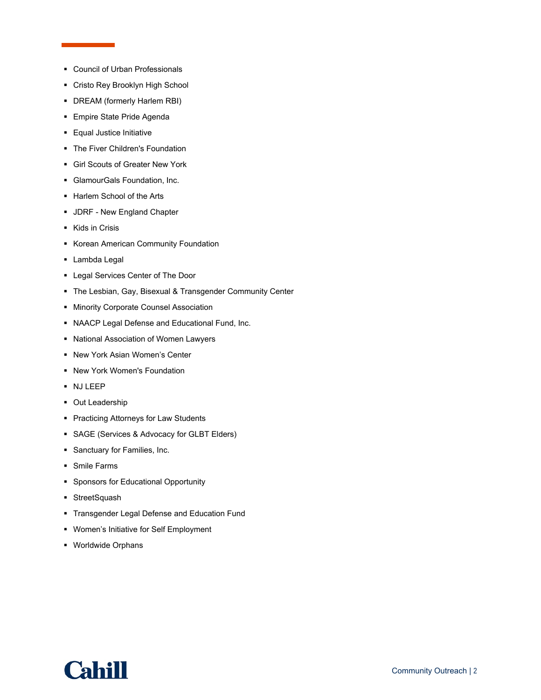- Council of Urban Professionals
- Cristo Rey Brooklyn High School
- DREAM (formerly Harlem RBI)
- **Empire State Pride Agenda**
- **Equal Justice Initiative**
- **The Fiver Children's Foundation**
- Girl Scouts of Greater New York
- GlamourGals Foundation, Inc.
- **Harlem School of the Arts**
- **JDRF New England Chapter**
- Kids in Crisis
- **Korean American Community Foundation**
- **Lambda Legal**
- **-** Legal Services Center of The Door
- The Lesbian, Gay, Bisexual & Transgender Community Center
- **Minority Corporate Counsel Association**
- NAACP Legal Defense and Educational Fund, Inc.
- National Association of Women Lawyers
- New York Asian Women's Center
- New York Women's Foundation
- NJ LEEP
- **Out Leadership**
- **Practicing Attorneys for Law Students**
- **SAGE (Services & Advocacy for GLBT Elders)**
- **Sanctuary for Families, Inc.**
- Smile Farms
- **Sponsors for Educational Opportunity**
- **StreetSquash**
- **Transgender Legal Defense and Education Fund**
- Women's Initiative for Self Employment
- Worldwide Orphans